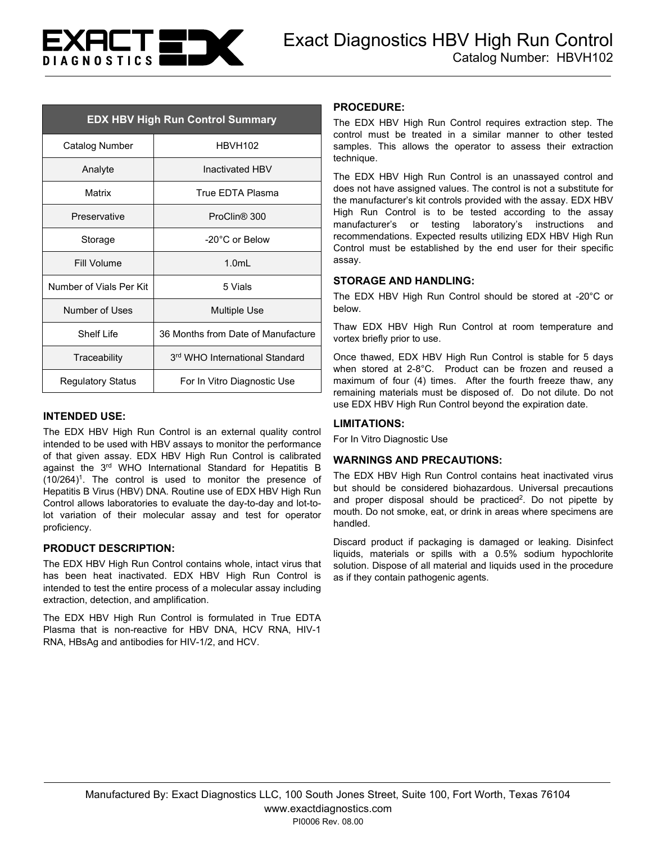

| <b>EDX HBV High Run Control Summary</b> |                                    |
|-----------------------------------------|------------------------------------|
| Catalog Number                          | <b>HBVH102</b>                     |
| Analyte                                 | Inactivated HBV                    |
| Matrix                                  | True FDTA Plasma                   |
| Preservative                            | ProClin <sup>®</sup> 300           |
| Storage                                 | $-20^{\circ}$ C or Below           |
| Fill Volume                             | 1.0 <sub>m</sub>                   |
| Number of Vials Per Kit                 | 5 Vials                            |
| Number of Uses                          | Multiple Use                       |
| Shelf I ife                             | 36 Months from Date of Manufacture |
| Traceability                            | 3rd WHO International Standard     |
| <b>Regulatory Status</b>                | For In Vitro Diagnostic Use        |

## **INTENDED USE:**

The EDX HBV High Run Control is an external quality control intended to be used with HBV assays to monitor the performance of that given assay. EDX HBV High Run Control is calibrated against the 3<sup>rd</sup> WHO International Standard for Hepatitis B (10/264)1. The control is used to monitor the presence of Hepatitis B Virus (HBV) DNA. Routine use of EDX HBV High Run Control allows laboratories to evaluate the day-to-day and lot-tolot variation of their molecular assay and test for operator proficiency.

#### **PRODUCT DESCRIPTION:**

The EDX HBV High Run Control contains whole, intact virus that has been heat inactivated. EDX HBV High Run Control is intended to test the entire process of a molecular assay including extraction, detection, and amplification.

The EDX HBV High Run Control is formulated in True EDTA Plasma that is non-reactive for HBV DNA, HCV RNA, HIV-1 RNA, HBsAg and antibodies for HIV-1/2, and HCV.

#### **PROCEDURE:**

The EDX HBV High Run Control requires extraction step. The control must be treated in a similar manner to other tested samples. This allows the operator to assess their extraction technique.

The EDX HBV High Run Control is an unassayed control and does not have assigned values. The control is not a substitute for the manufacturer's kit controls provided with the assay. EDX HBV High Run Control is to be tested according to the assay manufacturer's or testing laboratory's instructions and recommendations. Expected results utilizing EDX HBV High Run Control must be established by the end user for their specific assay.

## **STORAGE AND HANDLING:**

The EDX HBV High Run Control should be stored at -20°C or below.

Thaw EDX HBV High Run Control at room temperature and vortex briefly prior to use.

Once thawed, EDX HBV High Run Control is stable for 5 days when stored at 2-8°C. Product can be frozen and reused a maximum of four (4) times. After the fourth freeze thaw, any remaining materials must be disposed of. Do not dilute. Do not use EDX HBV High Run Control beyond the expiration date.

## **LIMITATIONS:**

For In Vitro Diagnostic Use

## **WARNINGS AND PRECAUTIONS:**

The EDX HBV High Run Control contains heat inactivated virus but should be considered biohazardous. Universal precautions and proper disposal should be practiced<sup>2</sup>. Do not pipette by mouth. Do not smoke, eat, or drink in areas where specimens are handled.

Discard product if packaging is damaged or leaking. Disinfect liquids, materials or spills with a 0.5% sodium hypochlorite solution. Dispose of all material and liquids used in the procedure as if they contain pathogenic agents.